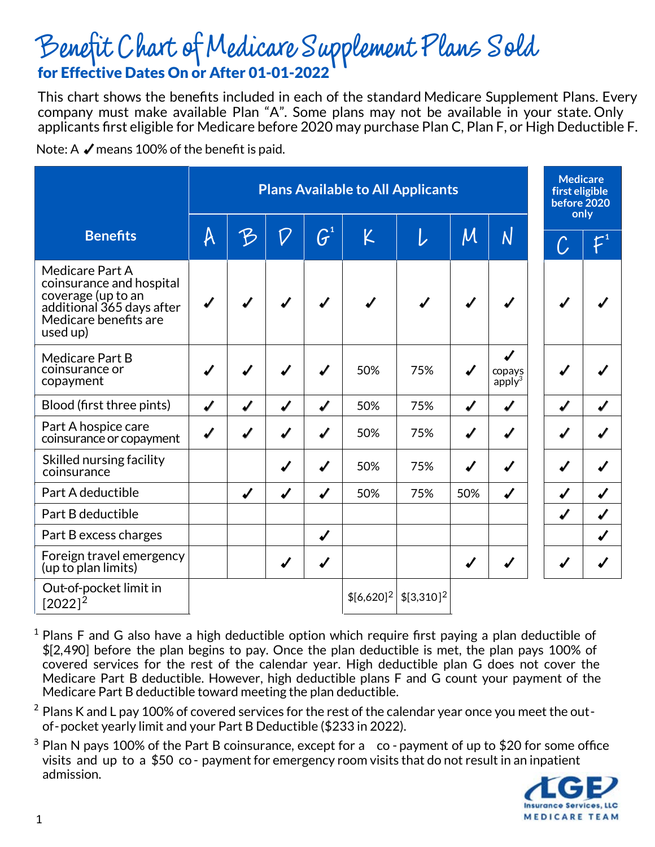## Benefit Chart of Medicare Supplement Plans Sold for Effective Dates On or After 01-01-2022

This chart shows the benefits included in each of the standard Medicare Supplement Plans. Every company must make available Plan "A". Some plans may not be available in your state. Only applicants first eligible for Medicare before 2020 may purchase Plan C, Plan F, or High Deductible F.

Note: A  $\blacktriangledown$  means 100% of the benefit is paid.

|                                                                                                                                     | <b>Plans Available to All Applicants</b> |                  |                  |                    |                |              | <b>Medicare</b><br>first eligible<br>before 2020<br>only |                          |   |                 |
|-------------------------------------------------------------------------------------------------------------------------------------|------------------------------------------|------------------|------------------|--------------------|----------------|--------------|----------------------------------------------------------|--------------------------|---|-----------------|
| <b>Benefits</b>                                                                                                                     | A                                        | B                | $\emph{O}$       | $\boldsymbol{G}^1$ | K              | L            | $\overline{\mathcal{M}}$                                 | $\overline{\mathsf{N}}$  |   | $\mathcal{L}^1$ |
| Medicare Part A<br>coinsurance and hospital<br>coverage (up to an<br>additional 365 days after<br>Medicare benefits are<br>used up) |                                          |                  |                  |                    |                |              |                                                          |                          |   |                 |
| Medicare Part B<br>coinsurance or<br>copayment                                                                                      |                                          |                  |                  |                    | 50%            | 75%          | ┙                                                        | J<br>copays<br>$apply^3$ |   |                 |
| Blood (first three pints)                                                                                                           | J                                        | $\boldsymbol{v}$ | J                | $\boldsymbol{J}$   | 50%            | 75%          | J                                                        | J                        | J |                 |
| Part A hospice care<br>coinsurance or copayment                                                                                     | J                                        | $\sqrt{2}$       | $\sqrt{2}$       | $\boldsymbol{J}$   | 50%            | 75%          | J                                                        | J                        | J |                 |
| Skilled nursing facility<br>coinsurance                                                                                             |                                          |                  | J                | J                  | 50%            | 75%          | ✔                                                        |                          |   |                 |
| Part A deductible                                                                                                                   |                                          | J                | $\boldsymbol{v}$ | $\boldsymbol{v}$   | 50%            | 75%          | 50%                                                      | Í                        |   |                 |
| Part B deductible                                                                                                                   |                                          |                  |                  |                    |                |              |                                                          |                          |   |                 |
| Part B excess charges                                                                                                               |                                          |                  |                  | $\boldsymbol{v}$   |                |              |                                                          |                          |   |                 |
| Foreign travel emergency<br>(up to plan limits)                                                                                     |                                          |                  | $\sqrt{2}$       | $\boldsymbol{v}$   |                |              |                                                          |                          |   |                 |
| Out-of-pocket limit in<br>$[2022]^{2}$                                                                                              |                                          |                  |                  |                    | $$[6,620]^{2}$ | $$[3,310]^2$ |                                                          |                          |   |                 |

- $1$  Plans F and G also have a high deductible option which require first paying a plan deductible of \$[2,490] before the plan begins to pay. Once the plan deductible is met, the plan pays 100% of covered services for the rest of the calendar year. High deductible plan G does not cover the Medicare Part B deductible. However, high deductible plans F and G count your payment of the Medicare Part B deductible toward meeting the plan deductible.
- $2$  Plans K and L pay 100% of covered services for the rest of the calendar year once you meet the outof-pocket yearly limit and your Part B Deductible (\$233 in 2022).
- $3$  Plan N pays 100% of the Part B coinsurance, except for a co-payment of up to \$20 for some office visits and up to a \$50 co - payment for emergency room visits that do not result in an inpatient admission.

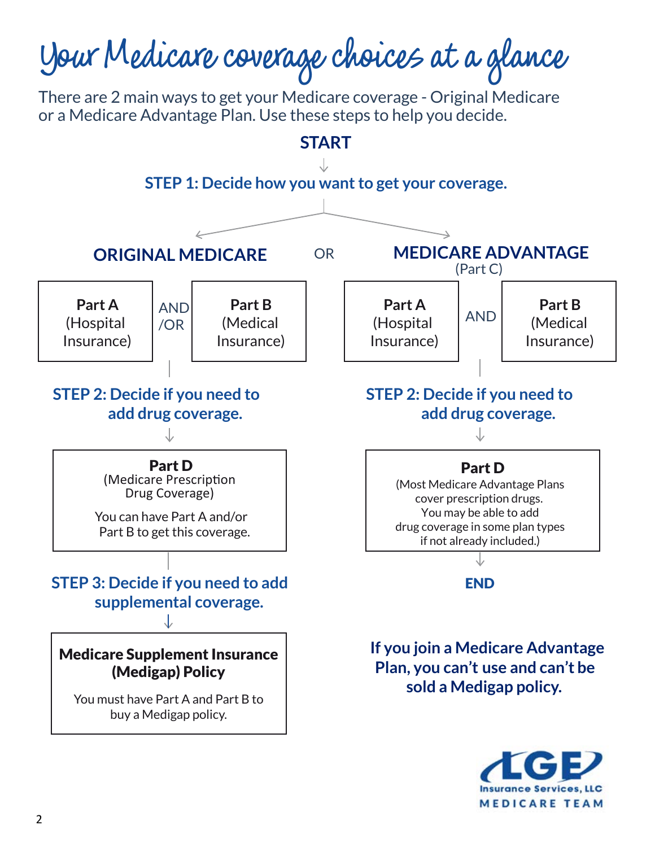

**MEDICARE TEAM**